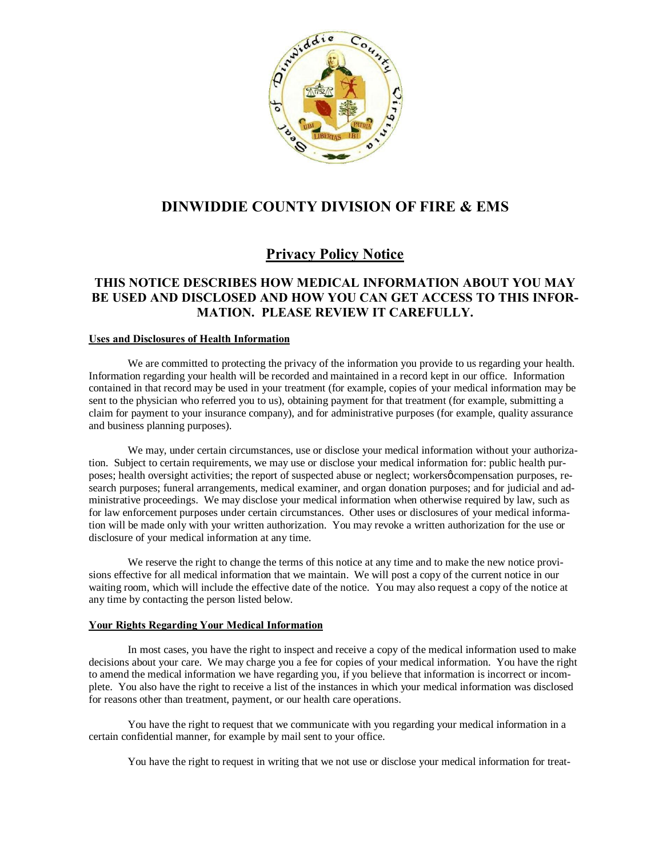

## **DINWIDDIE COUNTY DIVISION OF FIRE & EMS**

# **Privacy Policy Notice**

## **THIS NOTICE DESCRIBES HOW MEDICAL INFORMATION ABOUT YOU MAY BE USED AND DISCLOSED AND HOW YOU CAN GET ACCESS TO THIS INFOR-MATION. PLEASE REVIEW IT CAREFULLY.**

### **Uses and Disclosures of Health Information**

We are committed to protecting the privacy of the information you provide to us regarding your health. Information regarding your health will be recorded and maintained in a record kept in our office. Information contained in that record may be used in your treatment (for example, copies of your medical information may be sent to the physician who referred you to us), obtaining payment for that treatment (for example, submitting a claim for payment to your insurance company), and for administrative purposes (for example, quality assurance and business planning purposes).

We may, under certain circumstances, use or disclose your medical information without your authorization. Subject to certain requirements, we may use or disclose your medical information for: public health purposes; health oversight activities; the report of suspected abuse or neglect; workersø compensation purposes, research purposes; funeral arrangements, medical examiner, and organ donation purposes; and for judicial and administrative proceedings. We may disclose your medical information when otherwise required by law, such as for law enforcement purposes under certain circumstances. Other uses or disclosures of your medical information will be made only with your written authorization. You may revoke a written authorization for the use or disclosure of your medical information at any time.

We reserve the right to change the terms of this notice at any time and to make the new notice provisions effective for all medical information that we maintain. We will post a copy of the current notice in our waiting room, which will include the effective date of the notice. You may also request a copy of the notice at any time by contacting the person listed below.

### **Your Rights Regarding Your Medical Information**

In most cases, you have the right to inspect and receive a copy of the medical information used to make decisions about your care. We may charge you a fee for copies of your medical information. You have the right to amend the medical information we have regarding you, if you believe that information is incorrect or incomplete. You also have the right to receive a list of the instances in which your medical information was disclosed for reasons other than treatment, payment, or our health care operations.

You have the right to request that we communicate with you regarding your medical information in a certain confidential manner, for example by mail sent to your office.

You have the right to request in writing that we not use or disclose your medical information for treat-